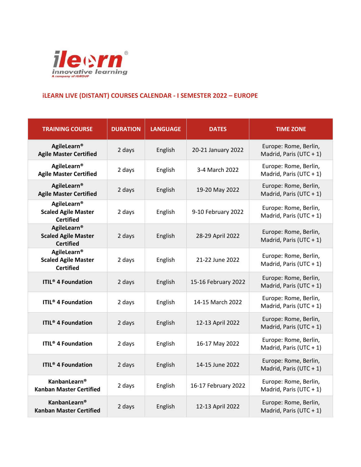

## **iLEARN LIVE (DISTANT) COURSES CALENDAR - I SEMESTER 2022 – EUROPE**

| <b>TRAINING COURSE</b>                                               | <b>DURATION</b> | <b>LANGUAGE</b> | <b>DATES</b>        | <b>TIME ZONE</b>                                 |
|----------------------------------------------------------------------|-----------------|-----------------|---------------------|--------------------------------------------------|
| AgileLearn®<br><b>Agile Master Certified</b>                         | 2 days          | English         | 20-21 January 2022  | Europe: Rome, Berlin,<br>Madrid, Paris (UTC + 1) |
| AgileLearn®<br><b>Agile Master Certified</b>                         | 2 days          | English         | 3-4 March 2022      | Europe: Rome, Berlin,<br>Madrid, Paris (UTC + 1) |
| AgileLearn®<br><b>Agile Master Certified</b>                         | 2 days          | English         | 19-20 May 2022      | Europe: Rome, Berlin,<br>Madrid, Paris (UTC + 1) |
| AgileLearn®<br><b>Scaled Agile Master</b><br><b>Certified</b>        | 2 days          | English         | 9-10 February 2022  | Europe: Rome, Berlin,<br>Madrid, Paris (UTC + 1) |
| AgileLearn®<br><b>Scaled Agile Master</b><br><b>Certified</b>        | 2 days          | English         | 28-29 April 2022    | Europe: Rome, Berlin,<br>Madrid, Paris (UTC + 1) |
| <b>AgileLearn®</b><br><b>Scaled Agile Master</b><br><b>Certified</b> | 2 days          | English         | 21-22 June 2022     | Europe: Rome, Berlin,<br>Madrid, Paris (UTC + 1) |
| <b>ITIL<sup>®</sup> 4 Foundation</b>                                 | 2 days          | English         | 15-16 February 2022 | Europe: Rome, Berlin,<br>Madrid, Paris (UTC + 1) |
| <b>ITIL<sup>®</sup> 4 Foundation</b>                                 | 2 days          | English         | 14-15 March 2022    | Europe: Rome, Berlin,<br>Madrid, Paris (UTC + 1) |
| <b>ITIL<sup>®</sup></b> 4 Foundation                                 | 2 days          | English         | 12-13 April 2022    | Europe: Rome, Berlin,<br>Madrid, Paris (UTC + 1) |
| <b>ITIL<sup>®</sup> 4 Foundation</b>                                 | 2 days          | English         | 16-17 May 2022      | Europe: Rome, Berlin,<br>Madrid, Paris (UTC + 1) |
| <b>ITIL<sup>®</sup></b> 4 Foundation                                 | 2 days          | English         | 14-15 June 2022     | Europe: Rome, Berlin,<br>Madrid, Paris (UTC + 1) |
| <b>KanbanLearn®</b><br><b>Kanban Master Certified</b>                | 2 days          | English         | 16-17 February 2022 | Europe: Rome, Berlin,<br>Madrid, Paris (UTC + 1) |
| <b>KanbanLearn®</b><br><b>Kanban Master Certified</b>                | 2 days          | English         | 12-13 April 2022    | Europe: Rome, Berlin,<br>Madrid, Paris (UTC + 1) |